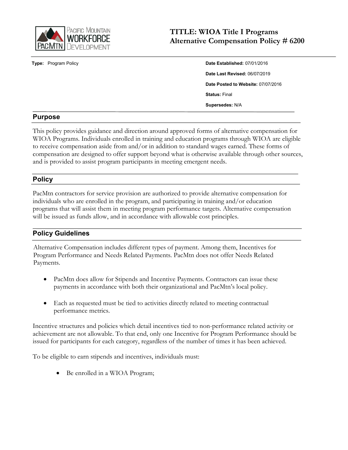

**Type:** Program Policy

| Date Established: 07/01/2016       |
|------------------------------------|
| Date Last Revised: 06/07/2019      |
| Date Posted to Website: 07/07/2016 |
| <b>Status: Final</b>               |
| Supersedes: N/A                    |

# **Purpose**

This policy provides guidance and direction around approved forms of alternative compensation for WIOA Programs. Individuals enrolled in training and education programs through WIOA are eligible to receive compensation aside from and/or in addition to standard wages earned. These forms of compensation are designed to offer support beyond what is otherwise available through other sources, and is provided to assist program participants in meeting emergent needs.

# **Policy**

PacMtn contractors for service provision are authorized to provide alternative compensation for individuals who are enrolled in the program, and participating in training and/or education programs that will assist them in meeting program performance targets. Alternative compensation will be issued as funds allow, and in accordance with allowable cost principles.

# **Policy Guidelines**

Alternative Compensation includes different types of payment. Among them, Incentives for Program Performance and Needs Related Payments. PacMtn does not offer Needs Related Payments.

- PacMtn does allow for Stipends and Incentive Payments. Contractors can issue these payments in accordance with both their organizational and PacMtn's local policy.
- Each as requested must be tied to activities directly related to meeting contractual performance metrics.

Incentive structures and policies which detail incentives tied to non-performance related activity or achievement are not allowable. To that end, only one Incentive for Program Performance should be issued for participants for each category, regardless of the number of times it has been achieved.

To be eligible to earn stipends and incentives, individuals must:

Be enrolled in a WIOA Program;